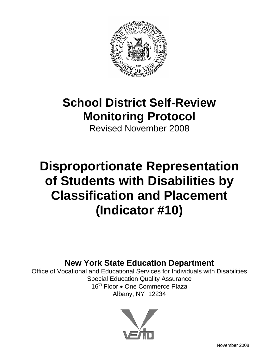

## **School District Self-Review Monitoring Protocol**

Revised November 2008

## **Disproportionate Representation of Students with Disabilities by Classification and Placement (Indicator #10)**

**New York State Education Department**

Office of Vocational and Educational Services for Individuals with Disabilities Special Education Quality Assurance 16<sup>th</sup> Floor • One Commerce Plaza Albany, NY 12234

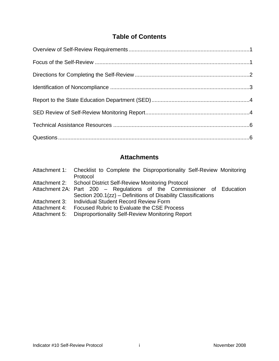## **Table of Contents**

## **Attachments**

|               | Attachment 1: Checklist to Complete the Disproportionality Self-Review Monitoring<br>Protocol |  |  |  |  |  |
|---------------|-----------------------------------------------------------------------------------------------|--|--|--|--|--|
|               | Attachment 2: School District Self-Review Monitoring Protocol                                 |  |  |  |  |  |
|               | Attachment 2A: Part 200 - Regulations of the Commissioner of Education                        |  |  |  |  |  |
|               | Section 200.1(zz) – Definitions of Disability Classifications                                 |  |  |  |  |  |
| Attachment 3: | <b>Individual Student Record Review Form</b>                                                  |  |  |  |  |  |
| Attachment 4: | Focused Rubric to Evaluate the CSE Process                                                    |  |  |  |  |  |
| Attachment 5: | Disproportionality Self-Review Monitoring Report                                              |  |  |  |  |  |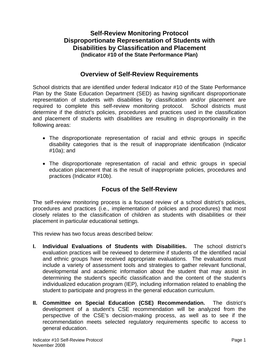## **Self-Review Monitoring Protocol Disproportionate Representation of Students with Disabilities by Classification and Placement (Indicator #10 of the State Performance Plan)**

### **Overview of Self-Review Requirements**

School districts that are identified under federal Indicator #10 of the State Performance Plan by the State Education Department (SED) as having significant disproportionate representation of students with disabilities by classification and/or placement are required to complete this self-review monitoring protocol. School districts must determine if the district's policies, procedures and practices used in the classification and placement of students with disabilities are resulting in disproportionality in the following areas:

- The disproportionate representation of racial and ethnic groups in specific disability categories that is the result of inappropriate identification (Indicator #10a); and
- The disproportionate representation of racial and ethnic groups in special education placement that is the result of inappropriate policies, procedures and practices (Indicator #10b).

## **Focus of the Self-Review**

The self-review monitoring process is a focused review of a school district's policies, procedures and practices (i.e., implementation of policies and procedures) that most closely relates to the classification of children as students with disabilities or their placement in particular educational settings.

This review has two focus areas described below:

- **I. Individual Evaluations of Students with Disabilities.** The school district's evaluation practices will be reviewed to determine if students of the identified racial and ethnic groups have received appropriate evaluations. The evaluations must include a variety of assessment tools and strategies to gather relevant functional, developmental and academic information about the student that may assist in determining the student's specific classification and the content of the student's individualized education program (IEP), including information related to enabling the student to participate and progress in the general education curriculum.
- **II. Committee on Special Education (CSE) Recommendation.** The district's development of a student's CSE recommendation will be analyzed from the perspective of the CSE's decision-making process, as well as to see if the recommendation meets selected regulatory requirements specific to access to general education.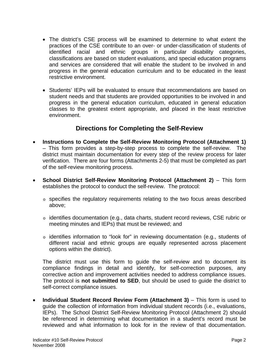- The district's CSE process will be examined to determine to what extent the practices of the CSE contribute to an over- or under-classification of students of identified racial and ethnic groups in particular disability categories, classifications are based on student evaluations, and special education programs and services are considered that will enable the student to be involved in and progress in the general education curriculum and to be educated in the least restrictive environment.
- Students' IEPs will be evaluated to ensure that recommendations are based on student needs and that students are provided opportunities to be involved in and progress in the general education curriculum, educated in general education classes to the greatest extent appropriate, and placed in the least restrictive environment.

## **Directions for Completing the Self-Review**

- **Instructions to Complete the Self-Review Monitoring Protocol (Attachment 1)** – This form provides a step-by-step process to complete the self-review. The district must maintain documentation for every step of the review process for later verification. There are four forms (Attachments 2-5) that must be completed as part of the self-review monitoring process.
- **School District Self-Review Monitoring Protocol (Attachment 2)** This form establishes the protocol to conduct the self-review. The protocol:
	- $\circ$  specifies the regulatory requirements relating to the two focus areas described above;
	- o identifies documentation (e.g., data charts, student record reviews, CSE rubric or meeting minutes and IEPs) that must be reviewed; and
	- o identifies information to "look for" in reviewing documentation (e.g., students of different racial and ethnic groups are equally represented across placement options within the district).

 The district must use this form to guide the self-review and to document its compliance findings in detail and identify, for self-correction purposes, any corrective action and improvement activities needed to address compliance issues. The protocol is **not submitted to SED**, but should be used to guide the district to self-correct compliance issues.

• **Individual Student Record Review Form (Attachment 3)** – This form is used to guide the collection of information from individual student records (i.e., evaluations, IEPs). The School District Self-Review Monitoring Protocol (Attachment 2) should be referenced in determining what documentation in a student's record must be reviewed and what information to look for in the review of that documentation.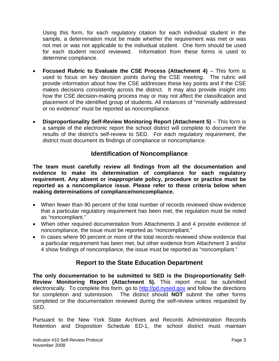Using this form, for each regulatory citation for each individual student in the sample, a determination must be made whether the requirement was met or was not met or was not applicable to the individual student. One form should be used for each student record reviewed. Information from these forms is used to determine compliance.

- **Focused Rubric to Evaluate the CSE Process (Attachment 4)** This form is used to focus on key decision points during the CSE meeting. The rubric will provide information about how the CSE addresses these key points and if the CSE makes decisions consistently across the district. It may also provide insight into how the CSE decision-making process may or may not affect the classification and placement of the identified group of students. All instances of "minimally addressed or no evidence" must be reported as noncompliance.
- **Disproportionality Self-Review Monitoring Report (Attachment 5)** This form is a sample of the electronic report the school district will complete to document the results of the district's self-review to SED. For each regulatory requirement, the district must document its findings of compliance or noncompliance.

## **Identification of Noncompliance**

**The team must carefully review all findings from all the documentation and evidence to make its determination of compliance for each regulatory requirement. Any absent or inappropriate policy, procedure or practice must be reported as a noncompliance issue. Please refer to these criteria below when making determinations of compliance/noncompliance.** 

- When fewer than 90 percent of the total number of records reviewed show evidence that a particular regulatory requirement has been met, the regulation must be noted as "noncompliant."
- When other required documentation from Attachments 3 and 4 provide evidence of noncompliance, the issue must be reported as "noncompliant."
- In cases where 90 percent or more of the total records reviewed show evidence that a particular requirement has been met, but other evidence from Attachment 3 and/or 4 show findings of noncompliance, the issue must be reported as "noncompliant."

## **Report to the State Education Department**

**The only documentation to be submitted to SED is the Disproportionality Self-Review Monitoring Report (Attachment 5).** This report must be submitted electronically. To complete this form, go to [http://pd.nysed.gov](http://pd.nysed.gov/) and follow the directions for completion and submission. The district should **NOT** submit the other forms completed or the documentation reviewed during the self-review unless requested by SED.

Pursuant to the New York State Archives and Records Administration Records Retention and Disposition Schedule ED-1, the school district must maintain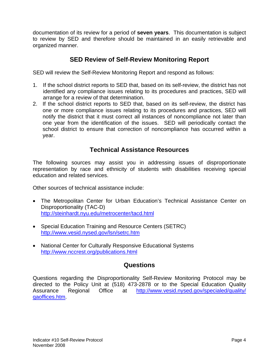documentation of its review for a period of **seven years**. This documentation is subject to review by SED and therefore should be maintained in an easily retrievable and organized manner.

## **SED Review of Self-Review Monitoring Report**

SED will review the Self-Review Monitoring Report and respond as follows:

- 1. If the school district reports to SED that, based on its self-review, the district has not identified any compliance issues relating to its procedures and practices, SED will arrange for a review of that determination.
- 2. If the school district reports to SED that, based on its self-review, the district has one or more compliance issues relating to its procedures and practices, SED will notify the district that it must correct all instances of noncompliance not later than one year from the identification of the issues. SED will periodically contact the school district to ensure that correction of noncompliance has occurred within a year.

## **Technical Assistance Resources**

The following sources may assist you in addressing issues of disproportionate representation by race and ethnicity of students with disabilities receiving special education and related services.

Other sources of technical assistance include:

- The Metropolitan Center for Urban Education's Technical Assistance Center on Disproportionality (TAC-D) <http://steinhardt.nyu.edu/metrocenter/tacd.html>
- Special Education Training and Resource Centers (SETRC) <http://www.vesid.nysed.gov/lsn/setrc.htm>
- National Center for Culturally Responsive Educational Systems <http://www.nccrest.org/publications.html>

## **Questions**

Questions regarding the Disproportionality Self-Review Monitoring Protocol may be directed to the Policy Unit at (518) 473-2878 or to the Special Education Quality Assurance Regional Office at [http://www.vesid.nysed.gov/specialed/quality/](http://www.vesid.nysed.gov/specialed/quality/qaoffices.htm) [qaoffices.htm](http://www.vesid.nysed.gov/specialed/quality/qaoffices.htm).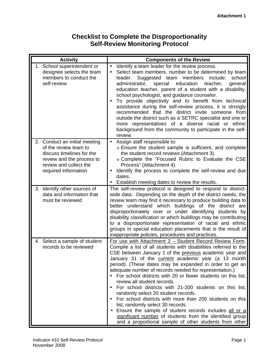## **Checklist to Complete the Disproportionality Self-Review Monitoring Protocol**

| <b>Activity</b>                                                                                                                                                    | <b>Components of the Review</b>                                                                                                                                                                                                                                                                                                                                                                                                                                                                                                                                                                                                                                                                                                                                                                                                                                      |
|--------------------------------------------------------------------------------------------------------------------------------------------------------------------|----------------------------------------------------------------------------------------------------------------------------------------------------------------------------------------------------------------------------------------------------------------------------------------------------------------------------------------------------------------------------------------------------------------------------------------------------------------------------------------------------------------------------------------------------------------------------------------------------------------------------------------------------------------------------------------------------------------------------------------------------------------------------------------------------------------------------------------------------------------------|
| 1. School superintendent or<br>designee selects the team<br>members to conduct the<br>self-review                                                                  | Identify a team leader for the review process.<br>Select team members, number to be determined by team<br>leader.<br>Suggested team members<br>include:<br>school<br>education<br>administrator,<br>special<br>teacher,<br>general<br>education teacher, parent of a student with a disability,<br>school psychologist, and guidance counselor.<br>To provide objectivity and to benefit from technical<br>assistance during the self-review process, it is strongly<br>recommended that the district invite someone from<br>outside the district such as a SETRC specialist and one or<br>more representatives of a diverse racial or ethnic<br>background from the community to participate in the self-<br>review.                                                                                                                                                |
| 2. Conduct an initial meeting<br>of the review team to<br>discuss timelines for the<br>review and the process to<br>review and collect the<br>required information | Assign staff responsible to:<br>$\bullet$<br>o Ensure the student sample is sufficient, and complete<br>the student record reviews (Attachment 3).<br>o Complete the "Focused Rubric to Evaluate the CSE<br>Process" (Attachment 4).<br>Identify the process to complete the self-review and due<br>dates.<br>Establish meeting dates to review the results.                                                                                                                                                                                                                                                                                                                                                                                                                                                                                                         |
| 3. Identify other sources of<br>data and information that<br>must be reviewed                                                                                      | The self-review protocol is designed to respond to district-<br>wide data. Depending on the depth of the district needs, the<br>review team may find it necessary to produce building data to<br>better understand which buildings of the<br>district are<br>disproportionately over or under identifying students by<br>disability classification or which buildings may be contributing<br>to a disproportionate representation of racial and ethnic<br>groups in special education placements that is the result of<br>inappropriate policies, procedures and practices.                                                                                                                                                                                                                                                                                          |
| 4. Select a sample of student<br>records to be reviewed                                                                                                            | For use with Attachment 3 - Student Record Review Form.<br>Compile a list of all students with disabilities referred to the<br>CSE between January 1 of the previous academic year and<br>January 31 of the current academic year (a 13 month<br>period). (These dates may be expanded in order to get an<br>adequate number of records needed for representation.)<br>• For school districts with 20 or fewer students on this list,<br>review all student records.<br>For school districts with 21-200 students on this list,<br>$\bullet$<br>randomly select 20 student records.<br>For school districts with more than 200 students on this<br>list, randomly select 30 records.<br>Ensure the sample of student records includes all or a<br>significant number of students from the identified group<br>and a proportional sample of other students from other |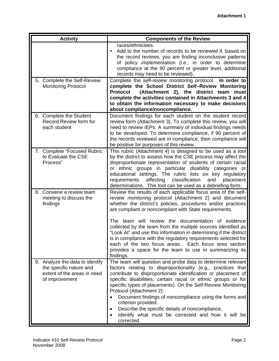| <b>Activity</b>                                                                                             | <b>Components of the Review</b>                                                                                                                                                                                                                                                                                                                                                                                                                                                                                                                                                                                                                 |
|-------------------------------------------------------------------------------------------------------------|-------------------------------------------------------------------------------------------------------------------------------------------------------------------------------------------------------------------------------------------------------------------------------------------------------------------------------------------------------------------------------------------------------------------------------------------------------------------------------------------------------------------------------------------------------------------------------------------------------------------------------------------------|
| 5. Complete the Self-Review<br><b>Monitoring Protocol</b>                                                   | races/ethnicities.<br>Add to the number of records to be reviewed if, based on<br>the record reviews, you are finding inconclusive patterns<br>of policy implementation (i.e., in order to determine<br>compliance at the 90 percent or greater level, additional<br>records may need to be reviewed).<br>Complete the self-review monitoring protocol. In order to<br>complete the School District Self-Review Monitoring<br><b>Protocol</b><br>(Attachment 2), the district team must<br>complete the activities contained in Attachments 3 and 4<br>to obtain the information necessary to make decisions<br>about compliance/noncompliance. |
| 6. Complete the Student<br>Record Review form for<br>each student                                           | Document findings for each student on the student record<br>review form (Attachment 3). To complete this review, you will<br>need to review IEPs. A summary of individual findings needs<br>to be developed. To determine compliance, if 90 percent of<br>the records reviewed are in compliance, then compliance will<br>be positive for purposes of this review.                                                                                                                                                                                                                                                                              |
| 7. Complete "Focused Rubric<br>to Evaluate the CSE<br>Process"                                              | This rubric (Attachment 4) is designed to be used as a tool<br>by the district to assess how the CSE process may affect the<br>disproportionate representation of students of certain racial<br>or ethnic groups in particular disability categories or<br>educational settings. The rubric lists six key regulatory<br>affecting<br>classification<br>requirements<br>and<br>placement<br>determinations. This tool can be used as a debriefing form.                                                                                                                                                                                          |
| 8. Convene a review team<br>meeting to discuss the<br>findings                                              | Review the results of each applicable focus area of the self-<br>review monitoring protocol (Attachment 2) and document<br>whether the district's policies, procedures and/or practices<br>are compliant or noncompliant with State requirements.<br>The team will review the documentation of evidence<br>collected by the team from the multiple sources identified as<br>"Look At" and use this information in determining if the district<br>is in compliance with the regulatory requirements selected for<br>each of the two focus areas. Each focus area section<br>provides a space for the team to use in summarizing its<br>findings. |
| 9. Analyze the data to identify<br>the specific nature and<br>extent of the areas in need<br>of improvement | The team will question and probe data to determine relevant<br>factors relating to disproportionality (e.g., practices that<br>contribute to disproportionate identification or placement of<br>specific disabilities, certain racial or ethnic groups or for<br>specific types of placements). On the Self-Review Monitoring<br>Protocol (Attachment 2):<br>Document findings of noncompliance using the forms and<br>criterion provided.<br>Describe the specific details of noncompliance.<br>$\bullet$<br>Identify what must be corrected and how it will be<br>corrected.                                                                  |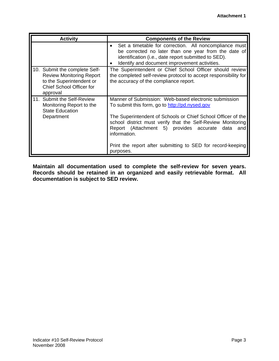| <b>Components of the Review</b>                                                                                                                                                                                                                                                                                                                                              |
|------------------------------------------------------------------------------------------------------------------------------------------------------------------------------------------------------------------------------------------------------------------------------------------------------------------------------------------------------------------------------|
| Set a timetable for correction. All noncompliance must<br>be corrected no later than one year from the date of<br>identification (i.e., date report submitted to SED).<br>Identify and document improvement activities.                                                                                                                                                      |
| The Superintendent or Chief School Officer should review<br>the completed self-review protocol to accept responsibility for<br>the accuracy of the compliance report.                                                                                                                                                                                                        |
| Manner of Submission: Web-based electronic submission<br>To submit this form, go to http://pd.nysed.gov<br>The Superintendent of Schools or Chief School Officer of the<br>school district must verify that the Self-Review Monitoring<br>Report (Attachment 5) provides accurate data<br>and<br>information.<br>Print the report after submitting to SED for record-keeping |
|                                                                                                                                                                                                                                                                                                                                                                              |

**Maintain all documentation used to complete the self-review for seven years. Records should be retained in an organized and easily retrievable format. All documentation is subject to SED review.**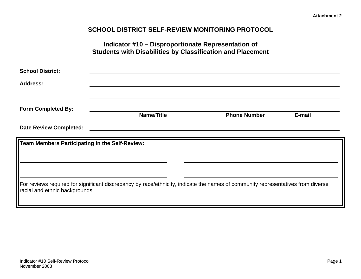### **SCHOOL DISTRICT SELF-REVIEW MONITORING PROTOCOL**

|                                                | Indicator #10 - Disproportionate Representation of<br><b>Students with Disabilities by Classification and Placement</b>          |                     |        |
|------------------------------------------------|----------------------------------------------------------------------------------------------------------------------------------|---------------------|--------|
| <b>School District:</b>                        |                                                                                                                                  |                     |        |
| <b>Address:</b>                                |                                                                                                                                  |                     |        |
| <b>Form Completed By:</b>                      | Name/Title                                                                                                                       | <b>Phone Number</b> | E-mail |
| <b>Date Review Completed:</b>                  | <u> 1980 - Jan Sterling von Berling von Berling von Berling von Berling von Berling von Berling von Berling von B</u>            |                     |        |
| Team Members Participating in the Self-Review: |                                                                                                                                  |                     |        |
| racial and ethnic backgrounds.                 | For reviews required for significant discrepancy by race/ethnicity, indicate the names of community representatives from diverse |                     |        |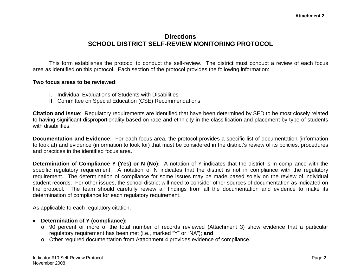## **Directions SCHOOL DISTRICT SELF-REVIEW MONITORING PROTOCOL**

 This form establishes the protocol to conduct the self-review. The district must conduct a review of each focus area as identified on this protocol. Each section of the protocol provides the following information:

#### **Two focus areas to be reviewed**:

- I. Individual Evaluations of Students with Disabilities
- II. Committee on Special Education (CSE) Recommendations

**Citation and Issue**: Regulatory requirements are identified that have been determined by SED to be most closely related to having significant disproportionality based on race and ethnicity in the classification and placement by type of students with disabilities.

**Documentation and Evidence**: For each focus area, the protocol provides a specific list of documentation (information to look at) and evidence (information to look for) that must be considered in the district's review of its policies, procedures and practices in the identified focus area.

**Determination of Compliance Y (Yes) or N (No):** A notation of Y indicates that the district is in compliance with the specific regulatory requirement. A notation of N indicates that the district is not in compliance with the regulatory requirement. The determination of compliance for some issues may be made based solely on the review of individual student records. For other issues, the school district will need to consider other sources of documentation as indicated on the protocol. The team should carefully review all findings from all the documentation and evidence to make its determination of compliance for each regulatory requirement.

As applicable to each regulatory citation:

- **Determination of Y (compliance):** 
	- <sup>o</sup> 90 percent or more of the total number of records reviewed (Attachment 3) show evidence that a particular regulatory requirement has been met (i.e., marked "Y" or "NA"); **and**
	- <sup>o</sup> Other required documentation from Attachment 4 provides evidence of compliance.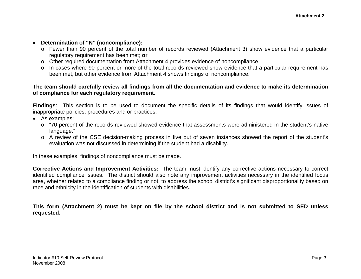#### • **Determination of "N" (noncompliance):**

- <sup>o</sup> Fewer than 90 percent of the total number of records reviewed (Attachment 3) show evidence that a particular regulatory requirement has been met; **or**
- <sup>o</sup> Other required documentation from Attachment 4 provides evidence of noncompliance.
- <sup>o</sup> In cases where 90 percent or more of the total records reviewed show evidence that a particular requirement has been met, but other evidence from Attachment 4 shows findings of noncompliance.

#### **The team should carefully review all findings from all the documentation and evidence to make its determination of compliance for each regulatory requirement.**

**Findings**: This section is to be used to document the specific details of its findings that would identify issues of inappropriate policies, procedures and or practices.

- As examples:
	- <sup>o</sup> "70 percent of the records reviewed showed evidence that assessments were administered in the student's native language."
	- <sup>o</sup> A review of the CSE decision-making process in five out of seven instances showed the report of the student's evaluation was not discussed in determining if the student had a disability.

In these examples, findings of noncompliance must be made.

**Corrective Actions and Improvement Activities:** The team must identify any corrective actions necessary to correct identified compliance issues. The district should also note any improvement activities necessary in the identified focus area, whether related to a compliance finding or not, to address the school district's significant disproportionality based on race and ethnicity in the identification of students with disabilities.

**This form (Attachment 2) must be kept on file by the school district and is not submitted to SED unless requested.**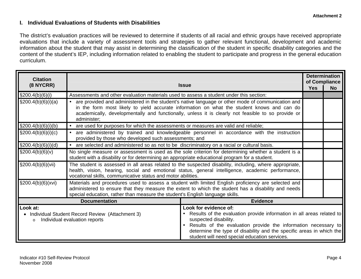#### **I. Individual Evaluations of Students with Disabilities**

The district's evaluation practices will be reviewed to determine if students of all racial and ethnic groups have received appropriate evaluations that include a variety of assessment tools and strategies to gather relevant functional, development and academic information about the student that may assist in determining the classification of the student in specific disability categories and the content of the student's IEP, including information related to enabling the student to participate and progress in the general education curriculum.

| <b>Citation</b>                                                                                                                                                                                                                                                                                                     | <b>Determination</b><br>of Compliance                                                                                                                                                                                                                                        |                                                                                                                                                                                                                                                                                                                    |  |  |  |  |  |
|---------------------------------------------------------------------------------------------------------------------------------------------------------------------------------------------------------------------------------------------------------------------------------------------------------------------|------------------------------------------------------------------------------------------------------------------------------------------------------------------------------------------------------------------------------------------------------------------------------|--------------------------------------------------------------------------------------------------------------------------------------------------------------------------------------------------------------------------------------------------------------------------------------------------------------------|--|--|--|--|--|
|                                                                                                                                                                                                                                                                                                                     | (8 NYCRR)<br><b>Issue</b>                                                                                                                                                                                                                                                    |                                                                                                                                                                                                                                                                                                                    |  |  |  |  |  |
| $\S 200.4(b)(6)(i)$                                                                                                                                                                                                                                                                                                 | Assessments and other evaluation materials used to assess a student under this section:                                                                                                                                                                                      |                                                                                                                                                                                                                                                                                                                    |  |  |  |  |  |
| \$200.4(b)(6)(i)(a)                                                                                                                                                                                                                                                                                                 | administer;                                                                                                                                                                                                                                                                  | are provided and administered in the student's native language or other mode of communication and<br>in the form most likely to yield accurate information on what the student knows and can do<br>academically, developmentally and functionally, unless it is clearly not feasible to so provide or              |  |  |  |  |  |
| $\S200.4(b)(6)(i)(b)$                                                                                                                                                                                                                                                                                               | are used for purposes for which the assessments or measures are valid and reliable;                                                                                                                                                                                          |                                                                                                                                                                                                                                                                                                                    |  |  |  |  |  |
| $\S200.4(b)(6)(i)(c)$                                                                                                                                                                                                                                                                                               | provided by those who developed such assessments; and                                                                                                                                                                                                                        | are administered by trained and knowledgeable personnel in accordance with the instruction                                                                                                                                                                                                                         |  |  |  |  |  |
| \$200.4(b)(6)(i)(d)                                                                                                                                                                                                                                                                                                 | are selected and administered so as not to be discriminatory on a racial or cultural basis.                                                                                                                                                                                  |                                                                                                                                                                                                                                                                                                                    |  |  |  |  |  |
| $\S200.4(b)(6)(v)$                                                                                                                                                                                                                                                                                                  | No single measure or assessment is used as the sole criterion for determining whether a student is a<br>student with a disability or for determining an appropriate educational program for a student.                                                                       |                                                                                                                                                                                                                                                                                                                    |  |  |  |  |  |
| $\S200.4(b)(6)(vii)$                                                                                                                                                                                                                                                                                                | The student is assessed in all areas related to the suspected disability, including, where appropriate,<br>health, vision, hearing, social and emotional status, general intelligence, academic performance,<br>vocational skills, communicative status and motor abilities. |                                                                                                                                                                                                                                                                                                                    |  |  |  |  |  |
| $\S200.4(b)(6)(xvi)$<br>Materials and procedures used to assess a student with limited English proficiency are selected and<br>administered to ensure that they measure the extent to which the student has a disability and needs<br>special education, rather than measure the student's English language skills. |                                                                                                                                                                                                                                                                              |                                                                                                                                                                                                                                                                                                                    |  |  |  |  |  |
|                                                                                                                                                                                                                                                                                                                     | <b>Documentation</b>                                                                                                                                                                                                                                                         | <b>Evidence</b>                                                                                                                                                                                                                                                                                                    |  |  |  |  |  |
| Look at:<br>$\circ$                                                                                                                                                                                                                                                                                                 | • Individual Student Record Review (Attachment 3)<br>Individual evaluation reports                                                                                                                                                                                           | Look for evidence of:<br>Results of the evaluation provide information in all areas related to<br>suspected disability.<br>Results of the evaluation provide the information necessary to<br>determine the type of disability and the specific areas in which the<br>student will need special education services. |  |  |  |  |  |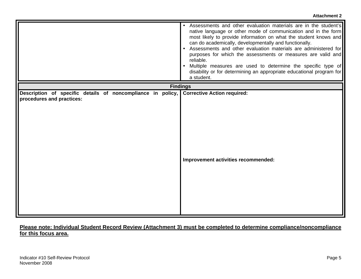|                                                                                          | • Assessments and other evaluation materials are in the student's<br>native language or other mode of communication and in the form<br>most likely to provide information on what the student knows and<br>can do academically, developmentally and functionally.<br>• Assessments and other evaluation materials are administered for<br>purposes for which the assessments or measures are valid and<br>reliable.<br>• Multiple measures are used to determine the specific type of<br>disability or for determining an appropriate educational program for<br>a student. |
|------------------------------------------------------------------------------------------|-----------------------------------------------------------------------------------------------------------------------------------------------------------------------------------------------------------------------------------------------------------------------------------------------------------------------------------------------------------------------------------------------------------------------------------------------------------------------------------------------------------------------------------------------------------------------------|
|                                                                                          | <b>Findings</b>                                                                                                                                                                                                                                                                                                                                                                                                                                                                                                                                                             |
| Description of specific details of noncompliance in policy,<br>procedures and practices: | <b>Corrective Action required:</b><br>Improvement activities recommended:                                                                                                                                                                                                                                                                                                                                                                                                                                                                                                   |

### **Please note: Individual Student Record Review (Attachment 3) must be completed to determine compliance/noncompliance for this focus area.**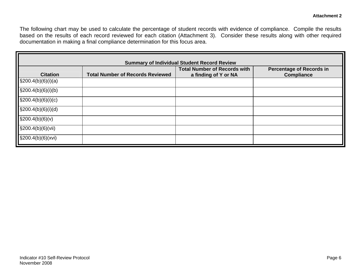The following chart may be used to calculate the percentage of student records with evidence of compliance. Compile the results based on the results of each record reviewed for each citation (Attachment 3). Consider these results along with other required documentation in making a final compliance determination for this focus area.

| <b>Summary of Individual Student Record Review</b> |                                         |                                                             |                                                      |  |  |  |  |
|----------------------------------------------------|-----------------------------------------|-------------------------------------------------------------|------------------------------------------------------|--|--|--|--|
| <b>Citation</b>                                    | <b>Total Number of Records Reviewed</b> | <b>Total Number of Records with</b><br>a finding of Y or NA | <b>Percentage of Records in</b><br><b>Compliance</b> |  |  |  |  |
| $\S200.4(b)(6)(i)(a)$                              |                                         |                                                             |                                                      |  |  |  |  |
| $\S200.4(b)(6)(i)(b)$                              |                                         |                                                             |                                                      |  |  |  |  |
| $\S200.4(b)(6)(i)(c)$                              |                                         |                                                             |                                                      |  |  |  |  |
| $\S200.4(b)(6)(i)(d)$                              |                                         |                                                             |                                                      |  |  |  |  |
| $\S200.4(b)(6)(v)$                                 |                                         |                                                             |                                                      |  |  |  |  |
| $\S200.4(b)(6)(vii)$                               |                                         |                                                             |                                                      |  |  |  |  |
| $\S200.4(b)(6)(xvi)$                               |                                         |                                                             |                                                      |  |  |  |  |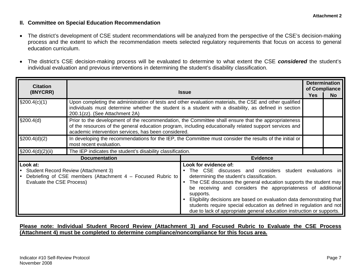#### **II. Committee on Special Education Recommendation**

- The district's development of CSE student recommendations will be analyzed from the perspective of the CSE's decision-making process and the extent to which the recommendation meets selected regulatory requirements that focus on access to general education curriculum.
- The district's CSE decision-making process will be evaluated to determine to what extent the CSE *considered* the student's individual evaluation and previous interventions in determining the student's disability classification.

| <b>Citation</b><br>(8NYCRR)           | of Compliance<br><b>Issue</b>                                                                                                                                                                                                                                          |                                                                                                                                                                                                                                                                                                                                                                                                                                                                                                        |           |  |  |  |
|---------------------------------------|------------------------------------------------------------------------------------------------------------------------------------------------------------------------------------------------------------------------------------------------------------------------|--------------------------------------------------------------------------------------------------------------------------------------------------------------------------------------------------------------------------------------------------------------------------------------------------------------------------------------------------------------------------------------------------------------------------------------------------------------------------------------------------------|-----------|--|--|--|
| $\S200.4(c)(1)$                       | Upon completing the administration of tests and other evaluation materials, the CSE and other qualified<br>individuals must determine whether the student is a student with a disability, as defined in section<br>200.1(zz). (See Attachment 2A)                      | <b>Yes</b>                                                                                                                                                                                                                                                                                                                                                                                                                                                                                             | <b>No</b> |  |  |  |
| \$200.4(d)                            | Prior to the development of the recommendation, the Committee shall ensure that the appropriateness<br>of the resources of the general education program, including educationally related support services and<br>academic intervention services, has been considered. |                                                                                                                                                                                                                                                                                                                                                                                                                                                                                                        |           |  |  |  |
| $\S200.4(d)(2)$                       | In developing the recommendations for the IEP, the Committee must consider the results of the initial or<br>most recent evaluation.                                                                                                                                    |                                                                                                                                                                                                                                                                                                                                                                                                                                                                                                        |           |  |  |  |
| $\S200.4(d)(2)(ii)$                   | The IEP indicates the student's disability classification.                                                                                                                                                                                                             |                                                                                                                                                                                                                                                                                                                                                                                                                                                                                                        |           |  |  |  |
|                                       | <b>Documentation</b>                                                                                                                                                                                                                                                   | <b>Evidence</b>                                                                                                                                                                                                                                                                                                                                                                                                                                                                                        |           |  |  |  |
| Look at:<br>Evaluate the CSE Process) | Student Record Review (Attachment 3)<br>Debriefing of CSE members (Attachment 4 - Focused Rubric to                                                                                                                                                                    | Look for evidence of:<br>The CSE discusses and considers student evaluations in<br>determining the student's classification.<br>The CSE discusses the general education supports the student may<br>be receiving and considers the appropriateness of additional<br>supports.<br>Eligibility decisions are based on evaluation data demonstrating that<br>students require special education as defined in regulation and not<br>due to lack of appropriate general education instruction or supports. |           |  |  |  |

#### **Please note: Individual Student Record Review (Attachment 3) and Focused Rubric to Evaluate the CSE Process (Attachment 4) must be completed to determine compliance/noncompliance for this focus area.**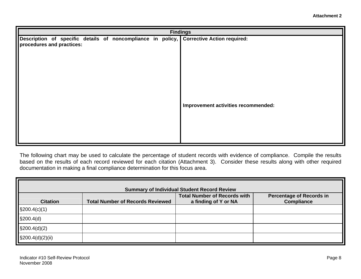|                           | <b>Findings</b> |  |  |  |  |  |  |                                                                                         |
|---------------------------|-----------------|--|--|--|--|--|--|-----------------------------------------------------------------------------------------|
| procedures and practices: |                 |  |  |  |  |  |  | Description of specific details of noncompliance in policy, Corrective Action required: |
|                           |                 |  |  |  |  |  |  | Improvement activities recommended:                                                     |

The following chart may be used to calculate the percentage of student records with evidence of compliance. Compile the results based on the results of each record reviewed for each citation (Attachment 3). Consider these results along with other required documentation in making a final compliance determination for this focus area.

| <b>Summary of Individual Student Record Review</b>                                                                                                                                |  |  |  |  |  |  |  |  |
|-----------------------------------------------------------------------------------------------------------------------------------------------------------------------------------|--|--|--|--|--|--|--|--|
| <b>Total Number of Records with</b><br><b>Percentage of Records in</b><br><b>Compliance</b><br><b>Citation</b><br>a finding of Y or NA<br><b>Total Number of Records Reviewed</b> |  |  |  |  |  |  |  |  |
| $\S200.4(c)(1)$                                                                                                                                                                   |  |  |  |  |  |  |  |  |
| \$200.4(d)                                                                                                                                                                        |  |  |  |  |  |  |  |  |
| $\S200.4(d)(2)$                                                                                                                                                                   |  |  |  |  |  |  |  |  |
| $\S200.4(d)(2)(ii)$                                                                                                                                                               |  |  |  |  |  |  |  |  |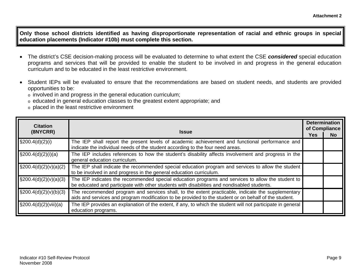**Only those school districts identified as having disproportionate representation of racial and ethnic groups in special education placements (Indicator #10b) must complete this section.** 

- The district's CSE decision-making process will be evaluated to determine to what extent the CSE *considered* special education programs and services that will be provided to enable the student to be involved in and progress in the general education curriculum and to be educated in the least restrictive environment.
- Student IEPs will be evaluated to ensure that the recommendations are based on student needs, and students are provided opportunities to be:
	- $\circ$  involved in and progress in the general education curriculum;
	- $\circ$  educated in general education classes to the greatest extent appropriate; and
	- $\circ$  placed in the least restrictive environment

| <b>Citation</b>                      | (8NYCRR)<br><b>Issue</b>                                                                                                                                                                                   |  |  |
|--------------------------------------|------------------------------------------------------------------------------------------------------------------------------------------------------------------------------------------------------------|--|--|
|                                      |                                                                                                                                                                                                            |  |  |
| $\sqrt{\frac{200.4(d)}{2(i)}}$       | The IEP shall report the present levels of academic achievement and functional performance and<br>indicate the individual needs of the student according to the four need areas.                           |  |  |
| $\log_{200.4(d)(2(i)(a))}$           | The IEP includes references to how the student's disability affects involvement and progress in the<br>general education curriculum.                                                                       |  |  |
| $\sqrt{\frac{200.4(d)(2)(v)(a)(2)}}$ | The IEP shall indicate the recommended special education program and services to allow the student<br>to be involved in and progress in the general education curriculum.                                  |  |  |
| $\sqrt{\frac{200.4(d)(2)(v)(a)(3)}}$ | The IEP indicates the recommended special education programs and services to allow the student to<br>be educated and participate with other students with disabilities and nondisabled students.           |  |  |
| $\sqrt{\frac{200.4(d)(2)(v)(b)(3)}}$ | The recommended program and services shall, to the extent practicable, indicate the supplementary<br>aids and services and program modification to be provided to the student or on behalf of the student. |  |  |
| $\sqrt{\frac{200.4(d)(2)(viii)}{a}}$ | The IEP provides an explanation of the extent, if any, to which the student will not participate in general<br>education programs.                                                                         |  |  |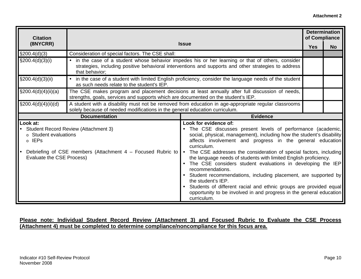| <b>Citation</b>                                                                |                                                                                                                                                                                                                             |                                                                                                                                                                                                                                                                                                                                                                                                                                                                                                                                                                                                                                                                                                                           | of Compliance | <b>Determination</b> |  |
|--------------------------------------------------------------------------------|-----------------------------------------------------------------------------------------------------------------------------------------------------------------------------------------------------------------------------|---------------------------------------------------------------------------------------------------------------------------------------------------------------------------------------------------------------------------------------------------------------------------------------------------------------------------------------------------------------------------------------------------------------------------------------------------------------------------------------------------------------------------------------------------------------------------------------------------------------------------------------------------------------------------------------------------------------------------|---------------|----------------------|--|
| (8NYCRR)                                                                       | <b>Issue</b>                                                                                                                                                                                                                |                                                                                                                                                                                                                                                                                                                                                                                                                                                                                                                                                                                                                                                                                                                           |               |                      |  |
| $\S200.4(d)(3)$                                                                | Consideration of special factors. The CSE shall:                                                                                                                                                                            |                                                                                                                                                                                                                                                                                                                                                                                                                                                                                                                                                                                                                                                                                                                           |               |                      |  |
| $\S200.4(d)(3)(i)$                                                             | • in the case of a student whose behavior impedes his or her learning or that of others, consider<br>strategies, including positive behavioral interventions and supports and other strategies to address<br>that behavior; |                                                                                                                                                                                                                                                                                                                                                                                                                                                                                                                                                                                                                                                                                                                           |               |                      |  |
| $\S200.4(d)(3)(ii)$                                                            | as such needs relate to the student's IEP.                                                                                                                                                                                  | • in the case of a student with limited English proficiency, consider the language needs of the student                                                                                                                                                                                                                                                                                                                                                                                                                                                                                                                                                                                                                   |               |                      |  |
| \$200.4(d)(4)(ii)(a)                                                           | The CSE makes program and placement decisions at least annually after full discussion of needs,<br>strengths, goals, services and supports which are documented on the student's IEP.                                       |                                                                                                                                                                                                                                                                                                                                                                                                                                                                                                                                                                                                                                                                                                                           |               |                      |  |
| \$200.4(d)(4)(ii)(d)                                                           | A student with a disability must not be removed from education in age-appropriate regular classrooms<br>solely because of needed modifications in the general education curriculum.                                         |                                                                                                                                                                                                                                                                                                                                                                                                                                                                                                                                                                                                                                                                                                                           |               |                      |  |
|                                                                                | <b>Documentation</b>                                                                                                                                                                                                        | <b>Evidence</b>                                                                                                                                                                                                                                                                                                                                                                                                                                                                                                                                                                                                                                                                                                           |               |                      |  |
| Look at:<br>$\circ$ Student evaluations<br>o IEPs<br>Evaluate the CSE Process) | <b>Student Record Review (Attachment 3)</b><br>Debriefing of CSE members (Attachment 4 - Focused Rubric to                                                                                                                  | Look for evidence of:<br>The CSE discusses present levels of performance (academic,<br>social, physical, management), including how the student's disability<br>affects involvement and progress in the general education<br>curriculum.<br>• The CSE addresses the consideration of special factors, including<br>the language needs of students with limited English proficiency.<br>The CSE considers student evaluations in developing the IEP<br>recommendations.<br>Student recommendations, including placement, are supported by<br>the student's IEP.<br>Students of different racial and ethnic groups are provided equal<br>opportunity to be involved in and progress in the general education<br>curriculum. |               |                      |  |

**Please note: Individual Student Record Review (Attachment 3) and Focused Rubric to Evaluate the CSE Process (Attachment 4) must be completed to determine compliance/noncompliance for this focus area.**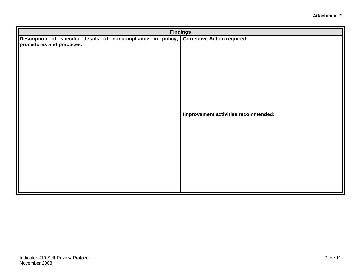|                           |  |  |  | <b>Findings</b>                                                                         |
|---------------------------|--|--|--|-----------------------------------------------------------------------------------------|
|                           |  |  |  | Description of specific details of noncompliance in policy, Corrective Action required: |
| procedures and practices: |  |  |  |                                                                                         |
|                           |  |  |  |                                                                                         |
|                           |  |  |  |                                                                                         |
|                           |  |  |  |                                                                                         |
|                           |  |  |  |                                                                                         |
|                           |  |  |  |                                                                                         |
|                           |  |  |  |                                                                                         |
|                           |  |  |  |                                                                                         |
|                           |  |  |  |                                                                                         |
|                           |  |  |  | Improvement activities recommended:                                                     |
|                           |  |  |  |                                                                                         |
|                           |  |  |  |                                                                                         |
|                           |  |  |  |                                                                                         |
|                           |  |  |  |                                                                                         |
|                           |  |  |  |                                                                                         |
|                           |  |  |  |                                                                                         |
|                           |  |  |  |                                                                                         |
|                           |  |  |  |                                                                                         |
|                           |  |  |  |                                                                                         |
|                           |  |  |  |                                                                                         |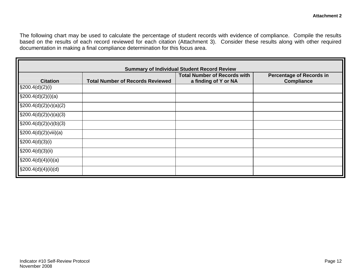The following chart may be used to calculate the percentage of student records with evidence of compliance. Compile the results based on the results of each record reviewed for each citation (Attachment 3). Consider these results along with other required documentation in making a final compliance determination for this focus area.

| <b>Summary of Individual Student Record Review</b> |                                         |                                                             |                                                      |  |  |  |
|----------------------------------------------------|-----------------------------------------|-------------------------------------------------------------|------------------------------------------------------|--|--|--|
| <b>Citation</b>                                    | <b>Total Number of Records Reviewed</b> | <b>Total Number of Records with</b><br>a finding of Y or NA | <b>Percentage of Records in</b><br><b>Compliance</b> |  |  |  |
| $\S200.4(d)(2)(i)$                                 |                                         |                                                             |                                                      |  |  |  |
| $\S200.4(d)(2)(i)(a)$                              |                                         |                                                             |                                                      |  |  |  |
| $\S200.4(d)(2)(v)(a)(2)$                           |                                         |                                                             |                                                      |  |  |  |
| $\S200.4(d)(2)(v)(a)(3)$                           |                                         |                                                             |                                                      |  |  |  |
| $\S200.4(d)(2)(v)(b)(3)$                           |                                         |                                                             |                                                      |  |  |  |
| $\S200.4(d)(2)(viii)(a)$                           |                                         |                                                             |                                                      |  |  |  |
| $\S200.4(d)(3)(i)$                                 |                                         |                                                             |                                                      |  |  |  |
| $\S200.4(d)(3)(ii)$                                |                                         |                                                             |                                                      |  |  |  |
| $\S200.4(d)(4)(ii)(a)$                             |                                         |                                                             |                                                      |  |  |  |
| $\S200.4(d)(4)(ii)(d)$                             |                                         |                                                             |                                                      |  |  |  |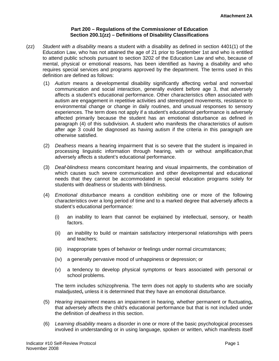#### **Part 200 – Regulations of the Commissioner of Education Section 200.1(zz) – Definitions of Disability Classifications**

- (zz) *Student with a disability* means a student with a disability as defined in section 4401(1) of the Education Law, who has not attained the age of 21 prior to September 1st and who is entitled to attend public schools pursuant to section 3202 of the Education Law and who, because of mental, physical or emotional reasons, has been identified as having a disability and who requires special services and programs approved by the department. The terms used in this definition are defined as follows:
	- (1) *Autism* means a developmental disability significantly affecting verbal and nonverbal communication and social interaction, generally evident before age 3, that adversely affects a student's educational performance. Other characteristics often associated with autism are engagement in repetitive activities and stereotyped movements, resistance to environmental change or change in daily routines, and unusual responses to sensory experiences. The term does not apply if a student's educational performance is adversely affected primarily because the student has an emotional disturbance as defined in paragraph (4) of this subdivision. A student who manifests the characteristics of autism after age 3 could be diagnosed as having autism if the criteria in this paragraph are otherwise satisfied.
	- (2) *Deafness* means a hearing impairment that is so severe that the student is impaired in processing linguistic information through hearing, with or without amplification,that adversely affects a student's educational performance.
	- (3) *Deaf-blindness* means concomitant hearing and visual impairments, the combination of which causes such severe communication and other developmental and educational needs that they cannot be accommodated in special education programs solely for students with deafness or students with blindness.
	- (4) *Emotional disturbance* means a condition exhibiting one or more of the following characteristics over a long period of time and to a marked degree that adversely affects a student's educational performance:
		- (i) an inability to learn that cannot be explained by intellectual, sensory, or health factors.
		- (ii) an inability to build or maintain satisfactory interpersonal relationships with peers and teachers;
		- (iii) inappropriate types of behavior or feelings under normal circumstances;
		- (iv) a generally pervasive mood of unhappiness or depression; or
		- (v) a tendency to develop physical symptoms or fears associated with personal or school problems.

The term includes schizophrenia. The term does not apply to students who are socially maladjusted**,** unless it is determined that they have an emotional disturbance.

- (5) *Hearing impairment* means an impairment in hearing, whether permanent or fluctuating**,**  that adversely affects the child's educational performance but that is not included under the definition of *deafness* in this section.
- (6) *Learning disability* means a disorder in one or more of the basic psychological processes involved in understanding or in using language, spoken or written, which manifests itself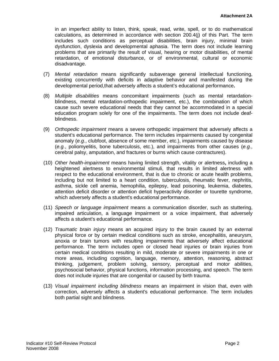in an imperfect ability to listen, think, speak, read, write, spell, or to do mathematical calculations, as determined in accordance with section 200.4(j) of this Part. The term includes such conditions as perceptual disabilities, brain injury, minimal brain dysfunction, dyslexia and developmental aphasia. The term does not include learning problems that are primarily the result of visual, hearing or motor disabilities, of mental retardation, of emotional disturbance, or of environmental, cultural or economic disadvantage.

- (7) *Mental retardation* means significantly subaverage general intellectual functioning, existing concurrently with deficits in adaptive behavior and manifested during the developmental period,that adversely affects a student's educational performance**.**
- (8) *Multiple disabilities* means concomitant impairments (such as mental retardationblindness, mental retardation-orthopedic impairment, etc.), the combination of which cause such severe educational needs that they cannot be accommodated in a special education program solely for one of the impairments. The term does not include deafblindness.
- (9) *Orthopedic impairment* means a severe orthopedic impairment that adversely affects a student's educational performance. The term includes impairments caused by congenital anomaly (*e.g.*, clubfoot, absence of some member, etc.), impairments caused by disease (*e.g.*, poliomyelitis, bone tuberculosis, etc.), and impairments from other causes (*e.g.*, cerebral palsy, amputation, and fractures or burns which cause contractures).
- (10) *Other health-impairment* means having limited strength, vitality or alertness**,** including a heightened alertness to environmental stimuli, that results in limited alertness with respect to the educational environment, that is due to chronic or acute health problems, including but not limited to a heart condition, tuberculosis, rheumatic fever, nephritis, asthma, sickle cell anemia, hemophilia, epilepsy, lead poisoning, leukemia, diabetes, attention deficit disorder or attention deficit hyperactivity disorder or tourette syndrome, which adversely affects a student's educational performance.
- (11) *Speech or language impairment* means a communication disorder, such as stuttering, impaired articulation, a language impairment or a voice impairment, that adversely affects a student's educational performance.
- (12) *Traumatic brain injury* means an acquired injury to the brain caused by an external physical force or by certain medical conditions such as stroke, encephalitis, aneurysm, anoxia or brain tumors with resulting impairments that adversely affect educational performance. The term includes open or closed head injuries or brain injuries from certain medical conditions resulting in mild, moderate or severe impairments in one or more areas, including cognition, language, memory, attention, reasoning, abstract thinking, judgement, problem solving, sensory, perceptual and motor abilities, psychosocial behavior, physical functions, information processing, and speech. The term does not include injuries that are congenital or caused by birth trauma.
- (13) *Visual impairment including blindness* means an impairment in vision that, even with correction, adversely affects a student's educational performance. The term includes both partial sight and blindness.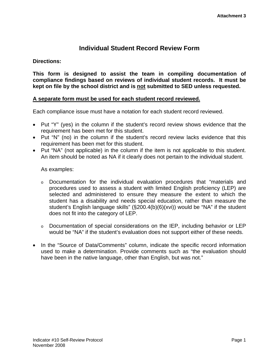### **Individual Student Record Review Form**

#### **Directions:**

**This form is designed to assist the team in compiling documentation of compliance findings based on reviews of individual student records. It must be kept on file by the school district and is not submitted to SED unless requested.** 

#### **A separate form must be used for each student record reviewed.**

Each compliance issue must have a notation for each student record reviewed.

- Put "Y" (yes) in the column if the student's record review shows evidence that the requirement has been met for this student.
- Put "N" (no) in the column if the student's record review lacks evidence that this requirement has been met for this student.
- Put "NA" (not applicable) in the column if the item is not applicable to this student. An item should be noted as NA if it clearly does not pertain to the individual student.

As examples:

- o Documentation for the individual evaluation procedures that "materials and procedures used to assess a student with limited English proficiency (LEP) are selected and administered to ensure they measure the extent to which the student has a disability and needs special education, rather than measure the student's English language skills" (§200.4(b)(6)(xvi)) would be "NA" if the student does not fit into the category of LEP.
- o Documentation of special considerations on the IEP, including behavior or LEP would be "NA" if the student's evaluation does not support either of these needs.
- In the "Source of Data/Comments" column, indicate the specific record information used to make a determination. Provide comments such as "the evaluation should have been in the native language, other than English, but was not."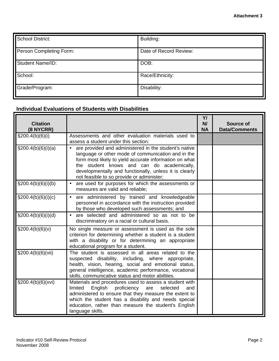| School District:        | Building:              |
|-------------------------|------------------------|
| Person Completing Form: | Date of Record Review: |
| <b>Student Name/ID:</b> | DOB:                   |
| School:                 | Race/Ethnicity:        |
| Grade/Program:          | Disability:            |

## **Individual Evaluations of Students with Disabilities**

| <b>Citation</b><br>(8 NYCRR) |                                                                                                                                                                                                                                                                                                                            | YI<br>N/<br><b>NA</b> | Source of<br><b>Data/Comments</b> |
|------------------------------|----------------------------------------------------------------------------------------------------------------------------------------------------------------------------------------------------------------------------------------------------------------------------------------------------------------------------|-----------------------|-----------------------------------|
| $\S200.4(b)(6)(i)$           | Assessments and other evaluation materials used to<br>assess a student under this section:                                                                                                                                                                                                                                 |                       |                                   |
| $\S200.4(b)(6)(i)(a)$        | are provided and administered in the student's native<br>language or other mode of communication and in the<br>form most likely to yield accurate information on what<br>the student knows and can do academically,<br>developmentally and functionally, unless it is clearly<br>not feasible to so provide or administer; |                       |                                   |
| $\S200.4(b)(6)(i)(b)$        | are used for purposes for which the assessments or<br>$\bullet$<br>measures are valid and reliable;                                                                                                                                                                                                                        |                       |                                   |
| $\S200.4(b)(6)(i)(c)$        | are administered by trained and knowledgeable<br>$\bullet$<br>personnel in accordance with the instruction provided<br>by those who developed such assessments; and                                                                                                                                                        |                       |                                   |
| \$200.4(b)(6)(i)(d)          | • are selected and administered so as not to be<br>discriminatory on a racial or cultural basis.                                                                                                                                                                                                                           |                       |                                   |
| \$200.4(b)(6)(v)             | No single measure or assessment is used as the sole<br>criterion for determining whether a student is a student<br>with a disability or for determining an appropriate<br>educational program for a student.                                                                                                               |                       |                                   |
| \$200.4(b)(6)(vii)           | The student is assessed in all areas related to the<br>suspected disability, including, where appropriate,<br>health, vision, hearing, social and emotional status,<br>general intelligence, academic performance, vocational<br>skills, communicative status and motor abilities.                                         |                       |                                   |
| \$200.4(b)(6)(xvi)           | Materials and procedures used to assess a student with<br>limited<br>English<br>proficiency are<br>selected<br>and<br>administered to ensure that they measure the extent to<br>which the student has a disability and needs special<br>education, rather than measure the student's English<br>language skills.           |                       |                                   |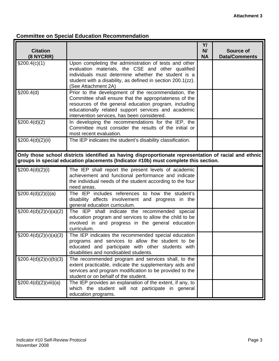## **Committee on Special Education Recommendation**

| <b>Citation</b><br>(8 NYCRR) |                                                                                                                                                                                                                                                                              | Y/<br>N/<br><b>NA</b> | Source of<br><b>Data/Comments</b> |
|------------------------------|------------------------------------------------------------------------------------------------------------------------------------------------------------------------------------------------------------------------------------------------------------------------------|-----------------------|-----------------------------------|
| $\S200.4(c)(1)$              | Upon completing the administration of tests and other<br>evaluation materials, the CSE and other qualified<br>individuals must determine whether the student is a<br>student with a disability, as defined in section 200.1(zz).<br>(See Attachment 2A)                      |                       |                                   |
| \$200.4(d)                   | Prior to the development of the recommendation, the<br>Committee shall ensure that the appropriateness of the<br>resources of the general education program, including<br>educationally related support services and academic<br>intervention services, has been considered. |                       |                                   |
| \$200.4(d)(2)                | In developing the recommendations for the IEP, the<br>Committee must consider the results of the initial or<br>most recent evaluation.                                                                                                                                       |                       |                                   |
| $\S200.4(d)(2)(ii)$          | The IEP indicates the student's disability classification.                                                                                                                                                                                                                   |                       |                                   |
|                              | Only those school districts identified as having disproportionate representation of racial and ethnic<br>groups in special education placements (Indicator #10b) must complete this section.                                                                                 |                       |                                   |
| $\S200.4(d)(2)(i)$           | The IEP shall report the present levels of academic<br>achievement and functional performance and indicate<br>the individual needs of the student according to the four<br>need areas.                                                                                       |                       |                                   |
| \$200.4(d)(2)(i)(a)          | The IEP includes references to how the student's<br>disability affects involvement and progress in the<br>general education curriculum.                                                                                                                                      |                       |                                   |
| $\S200.4(d)(2)(v)(a)(2)$     | The IEP shall indicate the recommended special<br>education program and services to allow the child to be<br>involved in and progress in the general education<br>curriculum.                                                                                                |                       |                                   |
| $\S200.4(d)(2)(v)(a)(3)$     | The IEP indicates the recommended special education<br>programs and services to allow the student to be<br>educated and participate with other students with<br>disabilities and nondisabled students.                                                                       |                       |                                   |
| $\S200.4(d)(2)(v)(b)(3)$     | The recommended program and services shall, to the<br>extent practicable, indicate the supplementary aids and<br>services and program modification to be provided to the<br>student or on behalf of the student.                                                             |                       |                                   |
| $\S200.4(d)(2)(viii)(a)$     | The IEP provides an explanation of the extent, if any, to<br>which the student will not participate in general<br>education programs.                                                                                                                                        |                       |                                   |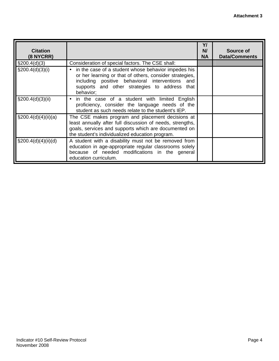| <b>Citation</b><br>(8 NYCRR)        |                                                                                                                                                                                                                                 | Y/<br>N/<br>ΝA | Source of<br><b>Data/Comments</b> |
|-------------------------------------|---------------------------------------------------------------------------------------------------------------------------------------------------------------------------------------------------------------------------------|----------------|-----------------------------------|
| $\S200.4(d)(3)$                     | Consideration of special factors. The CSE shall:                                                                                                                                                                                |                |                                   |
| $\overline{\text{S}}200.4(d)(3)(i)$ | in the case of a student whose behavior impedes his<br>or her learning or that of others, consider strategies,<br>including positive behavioral interventions and<br>supports and other strategies to address that<br>behavior; |                |                                   |
| $\S200.4(d)(3)(ii)$                 | • in the case of a student with limited English<br>proficiency, consider the language needs of the<br>student as such needs relate to the student's IEP.                                                                        |                |                                   |
| $\S200.4(d)(4)(ii)(a)$              | The CSE makes program and placement decisions at<br>least annually after full discussion of needs, strengths,<br>goals, services and supports which are documented on<br>the student's individualized education program.        |                |                                   |
| $\S200.4(d)(4)(ii)(d)$              | A student with a disability must not be removed from<br>education in age-appropriate regular classrooms solely<br>because of needed modifications in the general<br>education curriculum.                                       |                |                                   |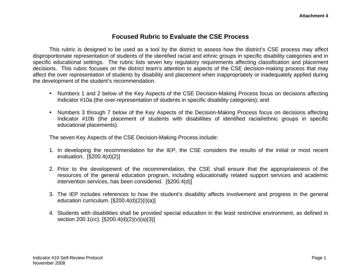## **Focused Rubric to Evaluate the CSE Process**

 This rubric is designed to be used as a tool by the district to assess how the district's CSE process may affect disproportionate representation of students of the identified racial and ethnic groups in specific disability categories and in specific educational settings. The rubric lists seven key regulatory requirements affecting classification and placement decisions. This rubric focuses on the district team's attention to aspects of the CSE decision-making process that may affect the over representation of students by disability and placement when inappropriately or inadequately applied during the development of the student's recommendation.

- Numbers 1 and 2 below of the Key Aspects of the CSE Decision-Making Process focus on decisions affecting Indicator #10a (the over-representation of students in specific disability categories); and
- Numbers 3 through 7 below of the Key Aspects of the Decision-Making Process focus on decisions affecting Indicator #10b (the placement of students with disabilities of identified racial/ethnic groups in specific educational placements).

The seven Key Aspects of the CSE Decision-Making Process include:

- 1. In developing the recommendation for the IEP, the CSE considers the results of the initial or most recent evaluation. [§200.4(d)(2)]
- 2. Prior to the development of the recommendation, the CSE shall ensure that the appropriateness of the resources of the general education program, including educationally related support services and academic intervention services, has been considered. [§200.4(d)]
- 3. The IEP includes references to how the student's disability affects involvement and progress in the general education curriculum. [§200.4(d)(2)(i)(a)]
- 4. Students with disabilities shall be provided special education in the least restrictive environment, as defined in section 200.1(cc). [§200.4(d)(2)(v)(a)(3)]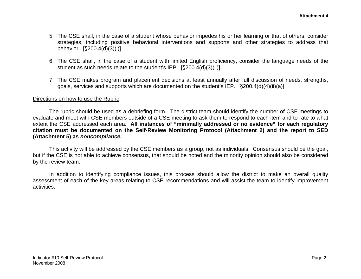- 5. The CSE shall, in the case of a student whose behavior impedes his or her learning or that of others, consider strategies, including positive behavioral interventions and supports and other strategies to address that behavior. [§200.4(d)(3)(i)]
- 6. The CSE shall, in the case of a student with limited English proficiency, consider the language needs of the student as such needs relate to the student's IEP. [§200.4(d)(3)(ii)]
- 7. The CSE makes program and placement decisions at least annually after full discussion of needs, strengths, goals, services and supports which are documented on the student's IEP. [§200.4(d)(4)(ii)(a)]

#### Directions on how to use the Rubric

 The rubric should be used as a debriefing form. The district team should identify the number of CSE meetings to evaluate and meet with CSE members outside of a CSE meeting to ask them to respond to each item and to rate to what extent the CSE addressed each area. **All instances of "minimally addressed or no evidence" for each regulatory citation must be documented on the Self-Review Monitoring Protocol (Attachment 2) and the report to SED (Attachment 5) as** *noncompliance.*

 This activity will be addressed by the CSE members as a group, not as individuals. Consensus should be the goal, but if the CSE is not able to achieve consensus, that should be noted and the minority opinion should also be considered by the review team.

 In addition to identifying compliance issues, this process should allow the district to make an overall quality assessment of each of the key areas relating to CSE recommendations and will assist the team to identify improvement activities.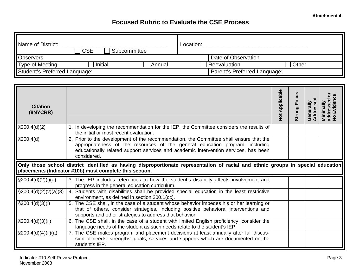## **Focused Rubric to Evaluate the CSE Process**

| Name of District:             | <b>CSE</b> | Subcommittee | Location: |                              |       |
|-------------------------------|------------|--------------|-----------|------------------------------|-------|
| <b>Il</b> Observers:          |            |              |           | Date of Observation          |       |
| Type of Meeting:              | Initial    | Annual       |           | Reevaluation                 | Other |
| Student's Preferred Language: |            |              |           | Parent's Preferred Language: |       |

| <b>Citation</b><br>(8NYCRR) |                                                                                                                                                                                                                                                                              | Not Applicable | Focus<br>Strong I | Generally<br>Addresse | ဗီ<br>ō<br>Evidenc<br>Minimally<br>addressed<br>No Evidenr |
|-----------------------------|------------------------------------------------------------------------------------------------------------------------------------------------------------------------------------------------------------------------------------------------------------------------------|----------------|-------------------|-----------------------|------------------------------------------------------------|
| \$200.4(d)(2)               | 1. In developing the recommendation for the IEP, the Committee considers the results of<br>the initial or most recent evaluation.                                                                                                                                            |                |                   |                       |                                                            |
| \$200.4(d)                  | 2. Prior to the development of the recommendation, the Committee shall ensure that the<br>appropriateness of the resources of the general education program, including<br>educationally related support services and academic intervention services, has been<br>considered. |                |                   |                       |                                                            |
|                             | Only those school district identified as having disproportionate representation of racial and ethnic groups in special education<br>placements (Indicator #10b) must complete this section.                                                                                  |                |                   |                       |                                                            |
| $\S200.4(d)(2)(i)(a)$       | 3. The IEP includes references to how the student's disability affects involvement and<br>progress in the general education curriculum.                                                                                                                                      |                |                   |                       |                                                            |
| $\S200.4(d)(2)(v)(a)(3)$    | 4. Students with disabilities shall be provided special education in the least restrictive<br>environment, as defined in section 200.1(cc).                                                                                                                                  |                |                   |                       |                                                            |
| $\S200.4(d)(3)(i)$          | 5. The CSE shall, in the case of a student whose behavior impedes his or her learning or<br>that of others, consider strategies, including positive behavioral interventions and<br>supports and other strategies to address that behavior.                                  |                |                   |                       |                                                            |
| $\S200.4(d)(3)(ii)$         | 6. The CSE shall, in the case of a student with limited English proficiency, consider the<br>language needs of the student as such needs relate to the student's IEP.                                                                                                        |                |                   |                       |                                                            |
| $\S200.4(d)(4)(ii)(a)$      | 7. The CSE makes program and placement decisions at least annually after full discus-<br>sion of needs, strengths, goals, services and supports which are documented on the<br>student's IEP.                                                                                |                |                   |                       |                                                            |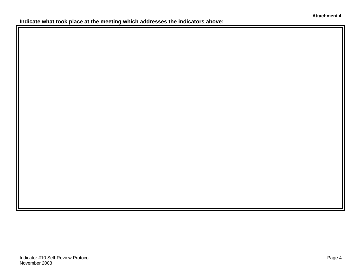**Indicate what took place at the meeting which addresses the indicators above:**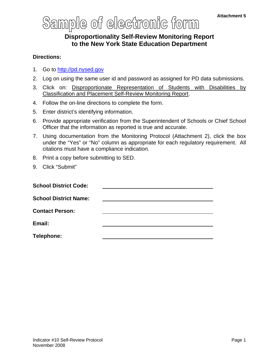## **Disproportionality Self-Review Monitoring Report to the New York State Education Department**

#### **Directions:**

- 1. Go to [http://pd.nysed.gov](http://pd.nysed.gov/)
- 2. Log on using the same user id and password as assigned for PD data submissions.
- 3. Click on: Disproportionate Representation of Students with Disabilities by Classification and Placement Self-Review Monitoring Report.
- 4. Follow the on-line directions to complete the form.
- 5. Enter district's identifying information.
- 6. Provide appropriate verification from the Superintendent of Schools or Chief School Officer that the information as reported is true and accurate.
- 7. Using documentation from the Monitoring Protocol (Attachment 2), click the box under the "Yes" or "No" column as appropriate for each regulatory requirement. All citations must have a compliance indication.
- 8. Print a copy before submitting to SED.
- 9. Click "Submit"

| <b>School District Code:</b> |  |
|------------------------------|--|
| <b>School District Name:</b> |  |
| <b>Contact Person:</b>       |  |
| Email:                       |  |
| Telephone:                   |  |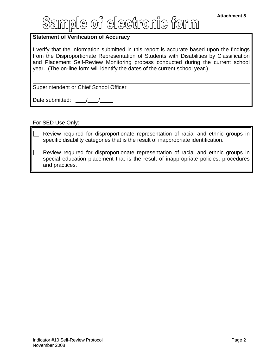#### **Statement of Verification of Accuracy**

I verify that the information submitted in this report is accurate based upon the findings from the Disproportionate Representation of Students with Disabilities by Classification and Placement Self-Review Monitoring process conducted during the current school year. (The on-line form will identify the dates of the current school year.)

Superintendent or Chief School Officer

Date submitted: \_

#### For SED Use Only:

 Review required for disproportionate representation of racial and ethnic groups in specific disability categories that is the result of inappropriate identification.

 Review required for disproportionate representation of racial and ethnic groups in special education placement that is the result of inappropriate policies, procedures and practices.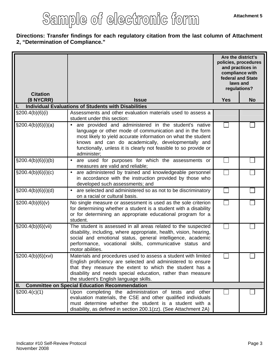#### **Directions: Transfer findings for each regulatory citation from the last column of Attachment 2, "Determination of Compliance."**

| <b>Citation</b>     |                                                                                                                                                                                                                                                                                                                                         | Are the district's<br>policies, procedures<br>and practices in<br>compliance with<br>federal and State<br>laws and<br>regulations? |           |
|---------------------|-----------------------------------------------------------------------------------------------------------------------------------------------------------------------------------------------------------------------------------------------------------------------------------------------------------------------------------------|------------------------------------------------------------------------------------------------------------------------------------|-----------|
| (8 NYCRR)           | <b>Issue</b>                                                                                                                                                                                                                                                                                                                            | <b>Yes</b>                                                                                                                         | <b>No</b> |
|                     | <b>Individual Evaluations of Students with Disabilities</b>                                                                                                                                                                                                                                                                             |                                                                                                                                    |           |
| $\S200.4(b)(6)(i)$  | Assessments and other evaluation materials used to assess a<br>student under this section:                                                                                                                                                                                                                                              |                                                                                                                                    |           |
| \$200.4(b)(6)(i)(a) | are provided and administered in the student's native<br>$\bullet$<br>language or other mode of communication and in the form<br>most likely to yield accurate information on what the student<br>knows and can do academically, developmentally and<br>functionally, unless it is clearly not feasible to so provide or<br>administer; |                                                                                                                                    |           |
| \$200.4(b)(6)(i)(b) | are used for purposes for which the assessments or<br>$\bullet$<br>measures are valid and reliable;                                                                                                                                                                                                                                     |                                                                                                                                    |           |
| \$200.4(b)(6)(i)(c) | are administered by trained and knowledgeable personnel<br>in accordance with the instruction provided by those who<br>developed such assessments; and                                                                                                                                                                                  |                                                                                                                                    |           |
| \$200.4(b)(6)(i)(d) | are selected and administered so as not to be discriminatory<br>on a racial or cultural basis.                                                                                                                                                                                                                                          |                                                                                                                                    |           |
| \$200.4(b)(6)(v)    | No single measure or assessment is used as the sole criterion<br>for determining whether a student is a student with a disability<br>or for determining an appropriate educational program for a<br>student.                                                                                                                            |                                                                                                                                    |           |
| \$200.4(b)(6)(vii)  | The student is assessed in all areas related to the suspected<br>disability, including, where appropriate, health, vision, hearing,<br>social and emotional status, general intelligence, academic<br>performance, vocational skills, communicative status and<br>motor abilities.                                                      |                                                                                                                                    |           |
| \$200.4(b)(6)(xvi)  | Materials and procedures used to assess a student with limited<br>English proficiency are selected and administered to ensure<br>that they measure the extent to which the student has a<br>disability and needs special education, rather than measure<br>the student's English language skills.                                       |                                                                                                                                    |           |
| Ш.                  | <b>Committee on Special Education Recommendation</b>                                                                                                                                                                                                                                                                                    |                                                                                                                                    |           |
| \$200.4(c)(1)       | Upon completing the administration of tests and other<br>evaluation materials, the CSE and other qualified individuals<br>must determine whether the student is a student with a<br>disability, as defined in section 200.1(zz). (See Attachment 2A)                                                                                    |                                                                                                                                    |           |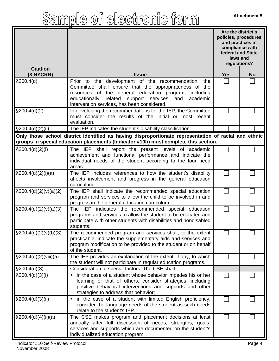| <b>Citation</b>                                                                                                                                                                             |                                                                                                                                                                                                                                                                                          | Are the district's<br>policies, procedures<br>and practices in<br>compliance with<br>federal and State<br>laws and<br>regulations? |           |  |  |
|---------------------------------------------------------------------------------------------------------------------------------------------------------------------------------------------|------------------------------------------------------------------------------------------------------------------------------------------------------------------------------------------------------------------------------------------------------------------------------------------|------------------------------------------------------------------------------------------------------------------------------------|-----------|--|--|
| (8 NYCRR)                                                                                                                                                                                   | <b>Issue</b>                                                                                                                                                                                                                                                                             | <b>Yes</b>                                                                                                                         | <b>No</b> |  |  |
| \$200.4(d)                                                                                                                                                                                  | Prior to the development of the recommendation, the<br>Committee shall ensure that the appropriateness of the<br>resources of the general education program, including<br>related<br>educationally<br>support services<br>academic<br>and<br>intervention services, has been considered. |                                                                                                                                    |           |  |  |
| $\S200.4(d)(2)$                                                                                                                                                                             | In developing the recommendations for the IEP, the Committee<br>must consider the results of the initial or most recent<br>evaluation.                                                                                                                                                   |                                                                                                                                    |           |  |  |
| $\S200.4(d)(2)(ii)$                                                                                                                                                                         | The IEP indicates the student's disability classification.                                                                                                                                                                                                                               |                                                                                                                                    |           |  |  |
| Only those school district identified as having disproportionate representation of racial and ethnic<br>groups in special education placements (Indicator #10b) must complete this section. |                                                                                                                                                                                                                                                                                          |                                                                                                                                    |           |  |  |
| $\S200.4(d)(2)(i)$                                                                                                                                                                          | The IEP shall report the present levels of academic<br>achievement and functional performance and indicate the<br>individual needs of the student according to the four need<br>areas.                                                                                                   |                                                                                                                                    |           |  |  |
| \$200.4(d)(2)(i)(a)                                                                                                                                                                         | The IEP includes references to how the student's disability<br>affects involvement and progress in the general education<br>curriculum.                                                                                                                                                  |                                                                                                                                    |           |  |  |
| $\S200.4(d)(2)(v)(a)(2)$                                                                                                                                                                    | The IEP shall indicate the recommended special education<br>program and services to allow the child to be involved in and<br>progress in the general education curriculum.                                                                                                               |                                                                                                                                    |           |  |  |
| $\S200.4(d)(2)(v)(a)(3)$                                                                                                                                                                    | The IEP indicates the recommended special education<br>programs and services to allow the student to be educated and<br>participate with other students with disabilities and nondisabled<br>students.                                                                                   |                                                                                                                                    |           |  |  |
| $\S200.4(d)(2)(v)(b)(3)$                                                                                                                                                                    | The recommended program and services shall, to the extent<br>practicable, indicate the supplementary aids and services and<br>program modification to be provided to the student or on behalf<br>of the student.                                                                         |                                                                                                                                    |           |  |  |
| $\S200.4(d)(2)(viii)(a)$                                                                                                                                                                    | The IEP provides an explanation of the extent, if any, to which<br>the student will not participate in regular education programs.                                                                                                                                                       |                                                                                                                                    |           |  |  |
| \$200.4(d)(3)                                                                                                                                                                               | Consideration of special factors. The CSE shall:                                                                                                                                                                                                                                         |                                                                                                                                    |           |  |  |
| $\S200.4(d)(3)(i)$                                                                                                                                                                          | in the case of a student whose behavior impedes his or her<br>learning or that of others, consider strategies, including<br>positive behavioral interventions and supports and other<br>strategies to address that behavior;                                                             |                                                                                                                                    |           |  |  |
| \$200.4(d)(3)(ii)                                                                                                                                                                           | in the case of a student with limited English proficiency,<br>consider the language needs of the student as such needs<br>relate to the student's IEP.                                                                                                                                   |                                                                                                                                    |           |  |  |
| \$200.4(d)(4)(ii)(a)                                                                                                                                                                        | The CSE makes program and placement decisions at least<br>annually after full discussion of needs, strengths, goals,<br>services and supports which are documented on the student's<br>individualized education program.                                                                 |                                                                                                                                    |           |  |  |